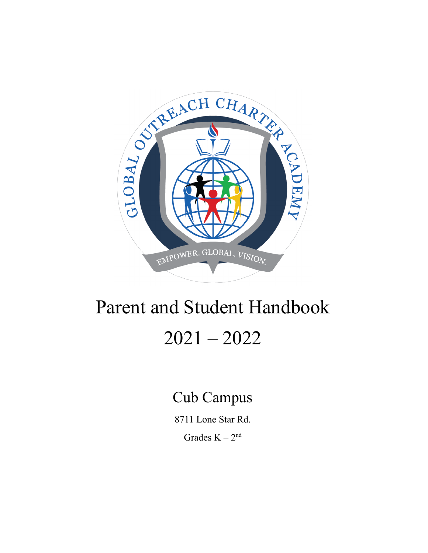

# Parent and Student Handbook 2021 – 2022

## Cub Campus

8711 Lone Star Rd.

Grades  $K - 2<sup>nd</sup>$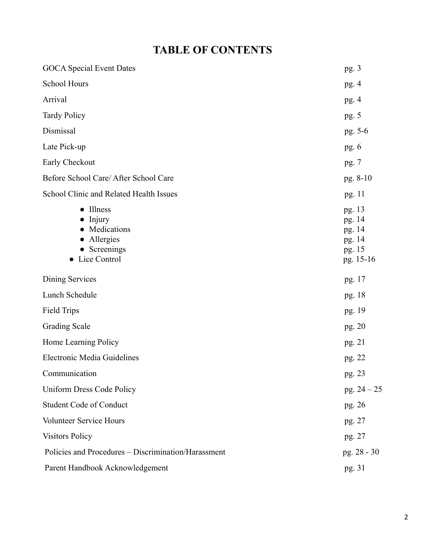## **TABLE OF CONTENTS**

| <b>GOCA</b> Special Event Dates                                                      | pg.3                                                        |
|--------------------------------------------------------------------------------------|-------------------------------------------------------------|
| School Hours                                                                         | pg. $4$                                                     |
| Arrival                                                                              | pg. $4$                                                     |
| <b>Tardy Policy</b>                                                                  | pg. 5                                                       |
| Dismissal                                                                            | pg. 5-6                                                     |
| Late Pick-up                                                                         | pg. $6$                                                     |
| Early Checkout                                                                       | pg. 7                                                       |
| Before School Care/ After School Care                                                | pg. 8-10                                                    |
| School Clinic and Related Health Issues                                              | pg. 11                                                      |
| <b>Illness</b><br>Injury<br>Medications<br>Allergies<br>• Screenings<br>Lice Control | pg. 13<br>pg. 14<br>pg. 14<br>pg. 14<br>pg. 15<br>pg. 15-16 |
| Dining Services                                                                      | pg. 17                                                      |
| Lunch Schedule                                                                       | pg. 18                                                      |
| <b>Field Trips</b>                                                                   | pg. 19                                                      |
| <b>Grading Scale</b>                                                                 | pg. 20                                                      |
| Home Learning Policy                                                                 | pg. 21                                                      |
| <b>Electronic Media Guidelines</b>                                                   | pg. 22                                                      |
| Communication                                                                        | pg. 23                                                      |
| Uniform Dress Code Policy                                                            | pg. $24 - 25$                                               |
| <b>Student Code of Conduct</b>                                                       | pg. 26                                                      |
| Volunteer Service Hours                                                              | pg. 27                                                      |
| <b>Visitors Policy</b>                                                               | pg. 27                                                      |
| Policies and Procedures - Discrimination/Harassment                                  | pg. 28 - 30                                                 |
| Parent Handbook Acknowledgement                                                      | pg. 31                                                      |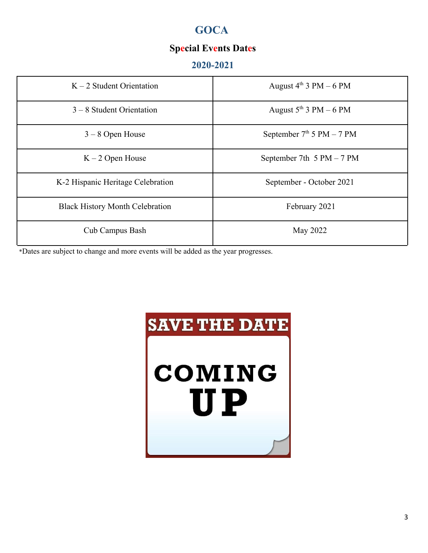## **GOCA**

### **Special Events Dates**

#### **2020-2021**

| $K - 2$ Student Orientation            | August $4^{th}$ 3 PM $-6$ PM |
|----------------------------------------|------------------------------|
| $3 - 8$ Student Orientation            | August $5^{th}$ 3 PM $-6$ PM |
| $3 - 8$ Open House                     | September $7th 5 PM - 7 PM$  |
| $K - 2$ Open House                     | September 7th $5 PM - 7 PM$  |
| K-2 Hispanic Heritage Celebration      | September - October 2021     |
| <b>Black History Month Celebration</b> | February 2021                |
| <b>Cub Campus Bash</b>                 | May 2022                     |

\*Dates are subject to change and more events will be added as the year progresses.

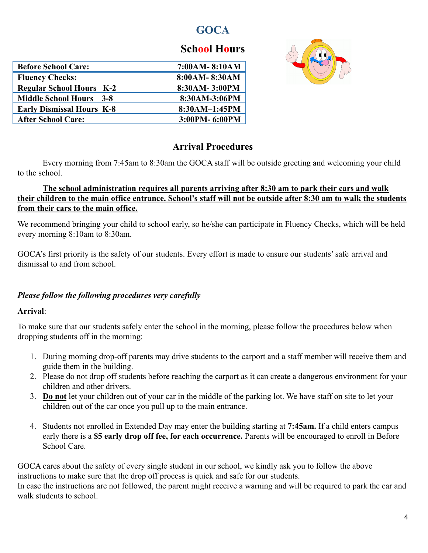## **GOCA**

## **School Hours**

| <b>Before School Care:</b>            | 7:00AM-8:10AM |
|---------------------------------------|---------------|
| <b>Fluency Checks:</b>                | 8:00AM-8:30AM |
| <b>Regular School Hours K-2</b>       | 8:30AM-3:00PM |
| <b>Middle School Hours</b><br>$3 - 8$ | 8:30AM-3:06PM |
| <b>Early Dismissal Hours K-8</b>      | 8:30AM-1:45PM |
| <b>After School Care:</b>             | 3:00PM-6:00PM |
|                                       |               |



#### **Arrival Procedures**

Every morning from 7:45am to 8:30am the GOCA staff will be outside greeting and welcoming your child to the school.

#### **The school administration requires all parents arriving after 8:30 am to park their cars and walk their children to the main office entrance. School's staff will not be outside after 8:30 am to walk the students from their cars to the main office.**

We recommend bringing your child to school early, so he/she can participate in Fluency Checks, which will be held every morning 8:10am to 8:30am.

GOCA's first priority is the safety of our students. Every effort is made to ensure our students' safe arrival and dismissal to and from school.

#### *Please follow the following procedures very carefully*

#### **Arrival**:

To make sure that our students safely enter the school in the morning, please follow the procedures below when dropping students off in the morning:

- 1. During morning drop-off parents may drive students to the carport and a staff member will receive them and guide them in the building.
- 2. Please do not drop off students before reaching the carport as it can create a dangerous environment for your children and other drivers.
- 3. **Do not** let your children out of your car in the middle of the parking lot. We have staff on site to let your children out of the car once you pull up to the main entrance.
- 4. Students not enrolled in Extended Day may enter the building starting at **7:45am.** If a child enters campus early there is a **\$5 early drop off fee, for each occurrence.** Parents will be encouraged to enroll in Before School Care.

GOCA cares about the safety of every single student in our school, we kindly ask you to follow the above instructions to make sure that the drop off process is quick and safe for our students. In case the instructions are not followed, the parent might receive a warning and will be required to park the car and walk students to school.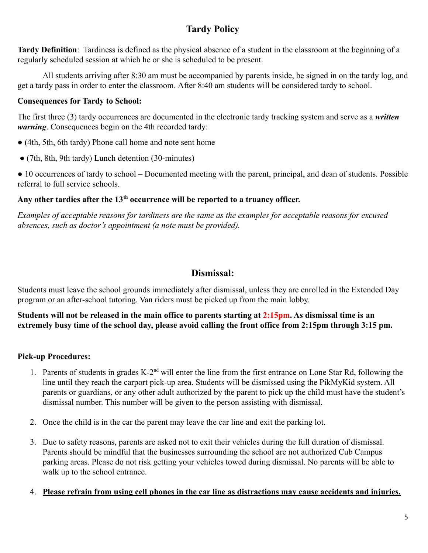#### **Tardy Policy**

**Tardy Definition**: Tardiness is defined as the physical absence of a student in the classroom at the beginning of a regularly scheduled session at which he or she is scheduled to be present.

All students arriving after 8:30 am must be accompanied by parents inside, be signed in on the tardy log, and get a tardy pass in order to enter the classroom. After 8:40 am students will be considered tardy to school.

#### **Consequences for Tardy to School:**

The first three (3) tardy occurrences are documented in the electronic tardy tracking system and serve as a *written warning*. Consequences begin on the 4th recorded tardy:

- (4th, 5th, 6th tardy) Phone call home and note sent home
- (7th, 8th, 9th tardy) Lunch detention (30-minutes)

● 10 occurrences of tardy to school – Documented meeting with the parent, principal, and dean of students. Possible referral to full service schools.

#### **Any other tardies after the 13th occurrence will be reported to a truancy officer.**

*Examples of acceptable reasons for tardiness are the same as the examples for acceptable reasons for excused absences, such as doctor's appointment (a note must be provided).*

#### **Dismissal:**

Students must leave the school grounds immediately after dismissal, unless they are enrolled in the Extended Day program or an after-school tutoring. Van riders must be picked up from the main lobby.

**Students will not be released in the main office to parents starting at 2:15pm. As dismissal time is an extremely busy time of the school day, please avoid calling the front office from 2:15pm through 3:15 pm.**

#### **Pick-up Procedures:**

- 1. Parents of students in grades K-2<sup>nd</sup> will enter the line from the first entrance on Lone Star Rd, following the line until they reach the carport pick-up area. Students will be dismissed using the PikMyKid system. All parents or guardians, or any other adult authorized by the parent to pick up the child must have the student's dismissal number. This number will be given to the person assisting with dismissal.
- 2. Once the child is in the car the parent may leave the car line and exit the parking lot.
- 3. Due to safety reasons, parents are asked not to exit their vehicles during the full duration of dismissal. Parents should be mindful that the businesses surrounding the school are not authorized Cub Campus parking areas. Please do not risk getting your vehicles towed during dismissal. No parents will be able to walk up to the school entrance.

#### 4. **Please refrain from using cell phones in the car line as distractions may cause accidents and injuries.**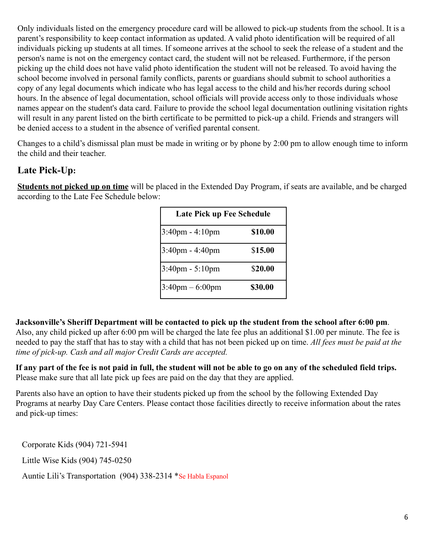Only individuals listed on the emergency procedure card will be allowed to pick-up students from the school. It is a parent's responsibility to keep contact information as updated. A valid photo identification will be required of all individuals picking up students at all times. If someone arrives at the school to seek the release of a student and the person's name is not on the emergency contact card, the student will not be released. Furthermore, if the person picking up the child does not have valid photo identification the student will not be released. To avoid having the school become involved in personal family conflicts, parents or guardians should submit to school authorities a copy of any legal documents which indicate who has legal access to the child and his/her records during school hours. In the absence of legal documentation, school officials will provide access only to those individuals whose names appear on the student's data card. Failure to provide the school legal documentation outlining visitation rights will result in any parent listed on the birth certificate to be permitted to pick-up a child. Friends and strangers will be denied access to a student in the absence of verified parental consent.

Changes to a child's dismissal plan must be made in writing or by phone by 2:00 pm to allow enough time to inform the child and their teacher.

#### **Late Pick-Up:**

**Students not picked up on time** will be placed in the Extended Day Program, if seats are available, and be charged according to the Late Fee Schedule below:

| <b>Late Pick up Fee Schedule</b>  |         |
|-----------------------------------|---------|
| $3:40 \text{pm} - 4:10 \text{pm}$ | \$10.00 |
| $3:40 \text{pm} - 4:40 \text{pm}$ | \$15.00 |
| 3:40pm - 5:10pm                   | \$20.00 |
| $3:40 \text{pm} - 6:00 \text{pm}$ | \$30.00 |

**Jacksonville's Sheriff Department will be contacted to pick up the student from the school after 6:00 pm**. Also, any child picked up after 6:00 pm will be charged the late fee plus an additional \$1.00 per minute. The fee is needed to pay the staff that has to stay with a child that has not been picked up on time. *All fees must be paid at the time of pick-up. Cash and all major Credit Cards are accepted.*

**If any part of the fee is not paid in full, the student will not be able to go on any of the scheduled field trips.** Please make sure that all late pick up fees are paid on the day that they are applied.

Parents also have an option to have their students picked up from the school by the following Extended Day Programs at nearby Day Care Centers. Please contact those facilities directly to receive information about the rates and pick-up times:

Corporate Kids (904) 721-5941

Little Wise Kids (904) 745-0250

Auntie Lili's Transportation (904) 338-2314 \*Se Habla Espanol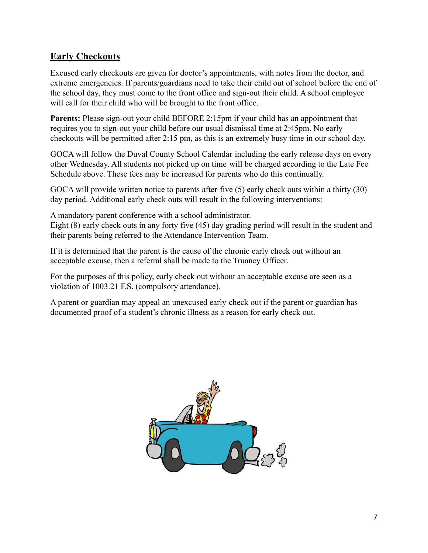#### **Early Checkouts**

Excused early checkouts are given for doctor's appointments, with notes from the doctor, and extreme emergencies. If parents/guardians need to take their child out of school before the end of the school day, they must come to the front office and sign-out their child. A school employee will call for their child who will be brought to the front office.

**Parents:** Please sign-out your child BEFORE 2:15pm if your child has an appointment that requires you to sign-out your child before our usual dismissal time at 2:45pm. No early checkouts will be permitted after 2:15 pm, as this is an extremely busy time in our school day.

GOCA will follow the Duval County School Calendar including the early release days on every other Wednesday. All students not picked up on time will be charged according to the Late Fee Schedule above. These fees may be increased for parents who do this continually.

GOCA will provide written notice to parents after five (5) early check outs within a thirty (30) day period. Additional early check outs will result in the following interventions:

A mandatory parent conference with a school administrator.

Eight (8) early check outs in any forty five (45) day grading period will result in the student and their parents being referred to the Attendance Intervention Team.

If it is determined that the parent is the cause of the chronic early check out without an acceptable excuse, then a referral shall be made to the Truancy Officer.

For the purposes of this policy, early check out without an acceptable excuse are seen as a violation of 1003.21 F.S. (compulsory attendance).

A parent or guardian may appeal an unexcused early check out if the parent or guardian has documented proof of a student's chronic illness as a reason for early check out.

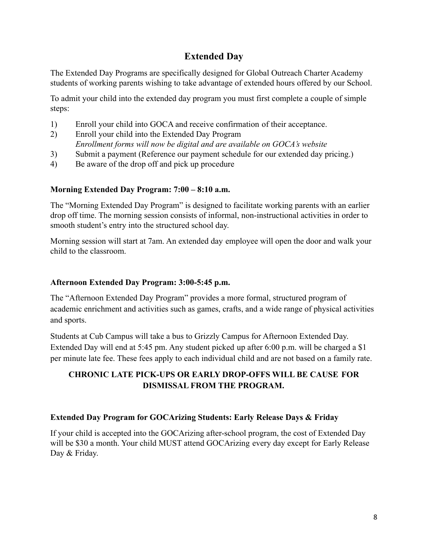#### **Extended Day**

The Extended Day Programs are specifically designed for Global Outreach Charter Academy students of working parents wishing to take advantage of extended hours offered by our School.

To admit your child into the extended day program you must first complete a couple of simple steps:

- 1) Enroll your child into GOCA and receive confirmation of their acceptance.
- 2) Enroll your child into the Extended Day Program *Enrollment forms will now be digital and are available on GOCA's website*
- 3) Submit a payment (Reference our payment schedule for our extended day pricing.)
- 4) Be aware of the drop off and pick up procedure

#### **Morning Extended Day Program: 7:00 – 8:10 a.m.**

The "Morning Extended Day Program" is designed to facilitate working parents with an earlier drop off time. The morning session consists of informal, non-instructional activities in order to smooth student's entry into the structured school day.

Morning session will start at 7am. An extended day employee will open the door and walk your child to the classroom.

#### **Afternoon Extended Day Program: 3:00-5:45 p.m.**

The "Afternoon Extended Day Program" provides a more formal, structured program of academic enrichment and activities such as games, crafts, and a wide range of physical activities and sports.

Students at Cub Campus will take a bus to Grizzly Campus for Afternoon Extended Day. Extended Day will end at 5:45 pm. Any student picked up after 6:00 p.m. will be charged a \$1 per minute late fee. These fees apply to each individual child and are not based on a family rate.

#### **CHRONIC LATE PICK-UPS OR EARLY DROP-OFFS WILL BE CAUSE FOR DISMISSAL FROM THE PROGRAM.**

#### **Extended Day Program for GOCArizing Students: Early Release Days & Friday**

If your child is accepted into the GOCArizing after-school program, the cost of Extended Day will be \$30 a month. Your child MUST attend GOCArizing every day except for Early Release Day & Friday.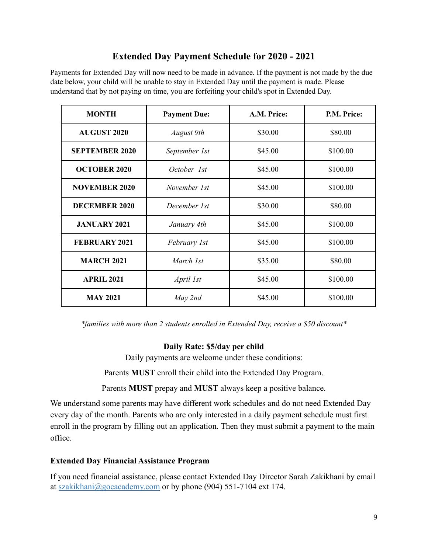#### **Extended Day Payment Schedule for 2020 - 2021**

Payments for Extended Day will now need to be made in advance. If the payment is not made by the due date below, your child will be unable to stay in Extended Day until the payment is made. Please understand that by not paying on time, you are forfeiting your child's spot in Extended Day.

| <b>MONTH</b>          | <b>Payment Due:</b> | A.M. Price: | P.M. Price: |
|-----------------------|---------------------|-------------|-------------|
| <b>AUGUST 2020</b>    | <b>August</b> 9th   | \$30.00     | \$80.00     |
| <b>SEPTEMBER 2020</b> | September 1st       | \$45.00     | \$100.00    |
| <b>OCTOBER 2020</b>   | October 1st         | \$45.00     | \$100.00    |
| <b>NOVEMBER 2020</b>  | November 1st        | \$45.00     | \$100.00    |
| <b>DECEMBER 2020</b>  | December 1st        | \$30.00     | \$80.00     |
| <b>JANUARY 2021</b>   | January 4th         | \$45.00     | \$100.00    |
| <b>FEBRUARY 2021</b>  | February 1st        | \$45.00     | \$100.00    |
| <b>MARCH 2021</b>     | March 1st           | \$35.00     | \$80.00     |
| <b>APRIL 2021</b>     | April 1st           | \$45.00     | \$100.00    |
| <b>MAY 2021</b>       | May 2nd             | \$45.00     | \$100.00    |

*\*families with more than 2 students enrolled in Extended Day, receive a \$50 discount\**

#### **Daily Rate: \$5/day per child**

Daily payments are welcome under these conditions:

Parents **MUST** enroll their child into the Extended Day Program.

Parents **MUST** prepay and **MUST** always keep a positive balance.

We understand some parents may have different work schedules and do not need Extended Day every day of the month. Parents who are only interested in a daily payment schedule must first enroll in the program by filling out an application. Then they must submit a payment to the main office.

#### **Extended Day Financial Assistance Program**

If you need financial assistance, please contact Extended Day Director Sarah Zakikhani by email at szakikhani@gocacademy.com or by phone (904) 551-7104 ext 174.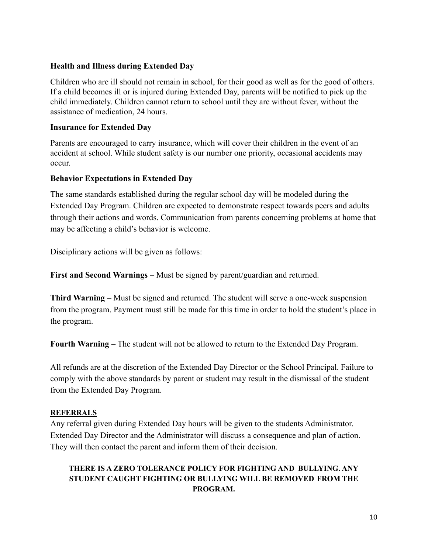#### **Health and Illness during Extended Day**

Children who are ill should not remain in school, for their good as well as for the good of others. If a child becomes ill or is injured during Extended Day, parents will be notified to pick up the child immediately. Children cannot return to school until they are without fever, without the assistance of medication, 24 hours.

#### **Insurance for Extended Day**

Parents are encouraged to carry insurance, which will cover their children in the event of an accident at school. While student safety is our number one priority, occasional accidents may occur.

#### **Behavior Expectations in Extended Day**

The same standards established during the regular school day will be modeled during the Extended Day Program. Children are expected to demonstrate respect towards peers and adults through their actions and words. Communication from parents concerning problems at home that may be affecting a child's behavior is welcome.

Disciplinary actions will be given as follows:

**First and Second Warnings** – Must be signed by parent/guardian and returned.

**Third Warning** – Must be signed and returned. The student will serve a one-week suspension from the program. Payment must still be made for this time in order to hold the student's place in the program.

**Fourth Warning** – The student will not be allowed to return to the Extended Day Program.

All refunds are at the discretion of the Extended Day Director or the School Principal. Failure to comply with the above standards by parent or student may result in the dismissal of the student from the Extended Day Program.

#### **REFERRALS**

Any referral given during Extended Day hours will be given to the students Administrator. Extended Day Director and the Administrator will discuss a consequence and plan of action. They will then contact the parent and inform them of their decision.

#### **THERE IS A ZERO TOLERANCE POLICY FOR FIGHTING AND BULLYING. ANY STUDENT CAUGHT FIGHTING OR BULLYING WILL BE REMOVED FROM THE PROGRAM.**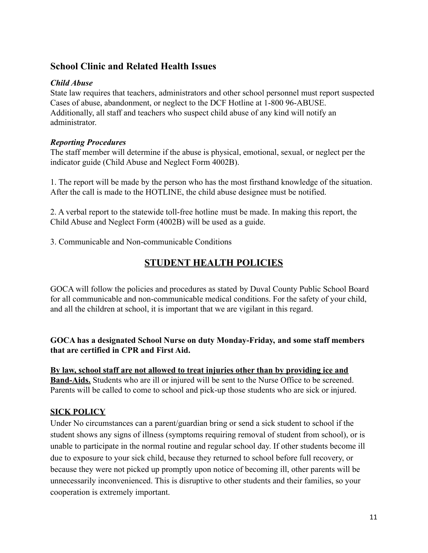#### **School Clinic and Related Health Issues**

#### *Child Abuse*

State law requires that teachers, administrators and other school personnel must report suspected Cases of abuse, abandonment, or neglect to the DCF Hotline at 1-800 96-ABUSE. Additionally, all staff and teachers who suspect child abuse of any kind will notify an administrator.

#### *Reporting Procedures*

The staff member will determine if the abuse is physical, emotional, sexual, or neglect per the indicator guide (Child Abuse and Neglect Form 4002B).

1. The report will be made by the person who has the most firsthand knowledge of the situation. After the call is made to the HOTLINE, the child abuse designee must be notified.

2. A verbal report to the statewide toll-free hotline must be made. In making this report, the Child Abuse and Neglect Form (4002B) will be used as a guide.

3. Communicable and Non-communicable Conditions

#### **STUDENT HEALTH POLICIES**

GOCA will follow the policies and procedures as stated by Duval County Public School Board for all communicable and non-communicable medical conditions. For the safety of your child, and all the children at school, it is important that we are vigilant in this regard.

#### **GOCA has a designated School Nurse on duty Monday-Friday, and some staff members that are certified in CPR and First Aid.**

**By law, school staff are not allowed to treat injuries other than by providing ice and Band-Aids.** Students who are ill or injured will be sent to the Nurse Office to be screened. Parents will be called to come to school and pick-up those students who are sick or injured.

#### **SICK POLICY**

Under No circumstances can a parent/guardian bring or send a sick student to school if the student shows any signs of illness (symptoms requiring removal of student from school), or is unable to participate in the normal routine and regular school day. If other students become ill due to exposure to your sick child, because they returned to school before full recovery, or because they were not picked up promptly upon notice of becoming ill, other parents will be unnecessarily inconvenienced. This is disruptive to other students and their families, so your cooperation is extremely important.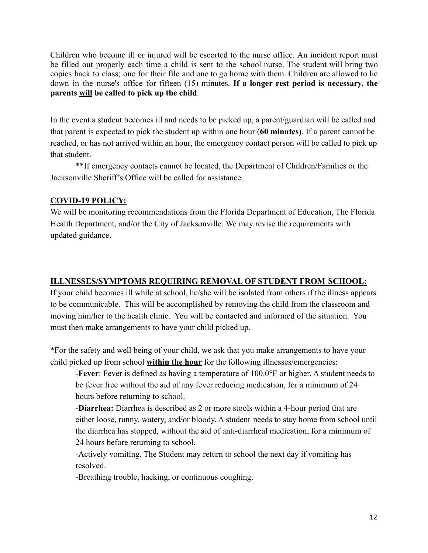Children who become ill or injured will be escorted to the nurse office. An incident report must be filled out properly each time a child is sent to the school nurse. The student will bring two copies back to class; one for their file and one to go home with them. Children are allowed to lie down in the nurse's office for fifteen (15) minutes. **If a longer rest period is necessary, the parents will be called to pick up the child**.

In the event a student becomes ill and needs to be picked up, a parent/guardian will be called and that parent is expected to pick the student up within one hour (**60 minutes)**. If a parent cannot be reached, or has not arrived within an hour, the emergency contact person will be called to pick up that student.

\*\*If emergency contacts cannot be located, the Department of Children/Families or the Jacksonville Sheriff's Office will be called for assistance.

#### **COVID-19 POLICY:**

We will be monitoring recommendations from the Florida Department of Education, The Florida Health Department, and/or the City of Jacksonville. We may revise the requirements with updated guidance.

#### **ILLNESSES/SYMPTOMS REQUIRING REMOVAL OF STUDENT FROM SCHOOL:**

If your child becomes ill while at school, he/she will be isolated from others if the illness appears to be communicable. This will be accomplished by removing the child from the classroom and moving him/her to the health clinic. You will be contacted and informed of the situation. You must then make arrangements to have your child picked up.

\*For the safety and well being of your child, we ask that you make arrangements to have your child picked up from school **within the hour** for the following illnesses/emergencies:

-**Fever**: Fever is defined as having a temperature of 100.0°F or higher. A student needs to be fever free without the aid of any fever reducing medication, for a minimum of 24 hours before returning to school.

-**Diarrhea:** Diarrhea is described as 2 or more stools within a 4-hour period that are either loose, runny, watery, and/or bloody. A student needs to stay home from school until the diarrhea has stopped, without the aid of anti-diarrheal medication, for a minimum of 24 hours before returning to school.

-Actively vomiting. The Student may return to school the next day if vomiting has resolved.

-Breathing trouble, hacking, or continuous coughing.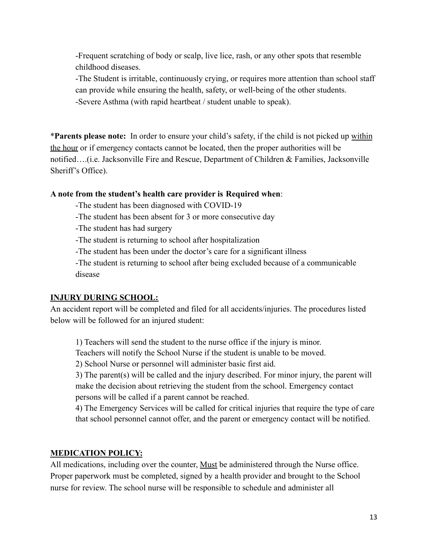-Frequent scratching of body or scalp, live lice, rash, or any other spots that resemble childhood diseases.

-The Student is irritable, continuously crying, or requires more attention than school staff can provide while ensuring the health, safety, or well-being of the other students. -Severe Asthma (with rapid heartbeat / student unable to speak).

\***Parents please note:** In order to ensure your child's safety, if the child is not picked up within the hour or if emergency contacts cannot be located, then the proper authorities will be notified….(i.e. Jacksonville Fire and Rescue, Department of Children & Families, Jacksonville Sheriff's Office).

#### **A note from the student's health care provider is Required when**:

-The student has been diagnosed with COVID-19

-The student has been absent for 3 or more consecutive day

-The student has had surgery

-The student is returning to school after hospitalization

-The student has been under the doctor's care for a significant illness

-The student is returning to school after being excluded because of a communicable disease

#### **INJURY DURING SCHOOL:**

An accident report will be completed and filed for all accidents/injuries. The procedures listed below will be followed for an injured student:

1) Teachers will send the student to the nurse office if the injury is minor.

Teachers will notify the School Nurse if the student is unable to be moved.

2) School Nurse or personnel will administer basic first aid.

3) The parent(s) will be called and the injury described. For minor injury, the parent will make the decision about retrieving the student from the school. Emergency contact persons will be called if a parent cannot be reached.

4) The Emergency Services will be called for critical injuries that require the type of care that school personnel cannot offer, and the parent or emergency contact will be notified.

#### **MEDICATION POLICY:**

All medications, including over the counter, **Must** be administered through the Nurse office. Proper paperwork must be completed, signed by a health provider and brought to the School nurse for review. The school nurse will be responsible to schedule and administer all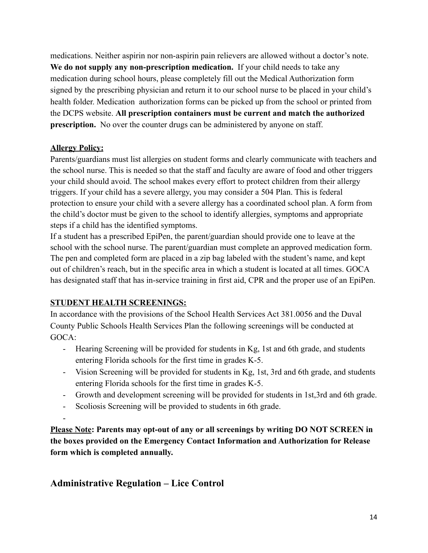medications. Neither aspirin nor non-aspirin pain relievers are allowed without a doctor's note. **We do not supply any non-prescription medication.** If your child needs to take any medication during school hours, please completely fill out the Medical Authorization form signed by the prescribing physician and return it to our school nurse to be placed in your child's health folder. Medication authorization forms can be picked up from the school or printed from the DCPS website. **All prescription containers must be current and match the authorized prescription.** No over the counter drugs can be administered by anyone on staff.

#### **Allergy Policy:**

Parents/guardians must list allergies on student forms and clearly communicate with teachers and the school nurse. This is needed so that the staff and faculty are aware of food and other triggers your child should avoid. The school makes every effort to protect children from their allergy triggers. If your child has a severe allergy, you may consider a 504 Plan. This is federal protection to ensure your child with a severe allergy has a coordinated school plan. A form from the child's doctor must be given to the school to identify allergies, symptoms and appropriate steps if a child has the identified symptoms.

If a student has a prescribed EpiPen, the parent/guardian should provide one to leave at the school with the school nurse. The parent/guardian must complete an approved medication form. The pen and completed form are placed in a zip bag labeled with the student's name, and kept out of children's reach, but in the specific area in which a student is located at all times. GOCA has designated staff that has in-service training in first aid, CPR and the proper use of an EpiPen.

#### **STUDENT HEALTH SCREENINGS:**

In accordance with the provisions of the School Health Services Act 381.0056 and the Duval County Public Schools Health Services Plan the following screenings will be conducted at GOCA:

- Hearing Screening will be provided for students in Kg, 1st and 6th grade, and students entering Florida schools for the first time in grades K-5.
- Vision Screening will be provided for students in Kg, 1st, 3rd and 6th grade, and students entering Florida schools for the first time in grades K-5.
- Growth and development screening will be provided for students in 1st,3rd and 6th grade.
- Scoliosis Screening will be provided to students in 6th grade.

-

**Please Note: Parents may opt-out of any or all screenings by writing DO NOT SCREEN in the boxes provided on the Emergency Contact Information and Authorization for Release form which is completed annually.**

#### **Administrative Regulation – Lice Control**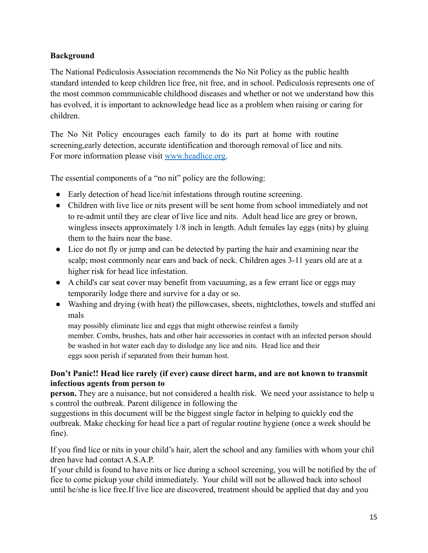#### **Background**

The National Pediculosis Association recommends the No Nit Policy as the public health standard intended to keep children lice free, nit free, and in school. Pediculosis represents one of the most common communicable childhood diseases and whether or not we understand how this has evolved, it is important to acknowledge head lice as a problem when raising or caring for children.

The No Nit Policy encourages each family to do its part at home with routine screening,early detection, accurate identification and thorough removal of lice and nits. For more information please visit [www.headlice.org.](http://www.headlice.org)

The essential components of a "no nit" policy are the following:

- Early detection of head lice/nit infestations through routine screening.
- Children with live lice or nits present will be sent home from school immediately and not to re-admit until they are clear of live lice and nits. Adult head lice are grey or brown, wingless insects approximately 1/8 inch in length. Adult females lay eggs (nits) by gluing them to the hairs near the base.
- Lice do not fly or jump and can be detected by parting the hair and examining near the scalp; most commonly near ears and back of neck. Children ages 3-11 years old are at a higher risk for head lice infestation.
- A child's car seat cover may benefit from vacuuming, as a few errant lice or eggs may temporarily lodge there and survive for a day or so.
- Washing and drying (with heat) the pillowcases, sheets, nightclothes, towels and stuffed ani mals

may possibly eliminate lice and eggs that might otherwise reinfest a family member. Combs, brushes, hats and other hair accessories in contact with an infected person should be washed in hot water each day to dislodge any lice and nits. Head lice and their eggs soon perish if separated from their human host.

#### **Don't Panic!! Head lice rarely (if ever) cause direct harm, and are not known to transmit infectious agents from person to**

**person.** They are a nuisance, but not considered a health risk. We need your assistance to help u s control the outbreak. Parent diligence in following the

suggestions in this document will be the biggest single factor in helping to quickly end the outbreak. Make checking for head lice a part of regular routine hygiene (once a week should be fine).

If you find lice or nits in your child's hair, alert the school and any families with whom your chil dren have had contact A.S.A.P.

If your child is found to have nits or lice during a school screening, you will be notified by the of fice to come pickup your child immediately. Your child will not be allowed back into school until he/she is lice free.If live lice are discovered, treatment should be applied that day and you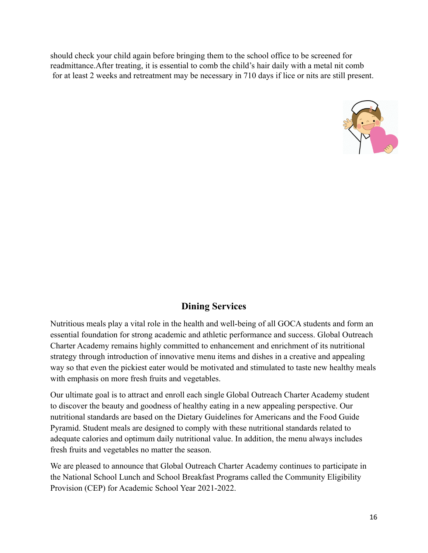should check your child again before bringing them to the school office to be screened for readmittance.After treating, it is essential to comb the child's hair daily with a metal nit comb for at least 2 weeks and retreatment may be necessary in 710 days if lice or nits are still present.



#### **Dining Services**

Nutritious meals play a vital role in the health and well-being of all GOCA students and form an essential foundation for strong academic and athletic performance and success. Global Outreach Charter Academy remains highly committed to enhancement and enrichment of its nutritional strategy through introduction of innovative menu items and dishes in a creative and appealing way so that even the pickiest eater would be motivated and stimulated to taste new healthy meals with emphasis on more fresh fruits and vegetables.

Our ultimate goal is to attract and enroll each single Global Outreach Charter Academy student to discover the beauty and goodness of healthy eating in a new appealing perspective. Our nutritional standards are based on the Dietary Guidelines for Americans and the Food Guide Pyramid. Student meals are designed to comply with these nutritional standards related to adequate calories and optimum daily nutritional value. In addition, the menu always includes fresh fruits and vegetables no matter the season.

We are pleased to announce that Global Outreach Charter Academy continues to participate in the National School Lunch and School Breakfast Programs called the Community Eligibility Provision (CEP) for Academic School Year 2021-2022.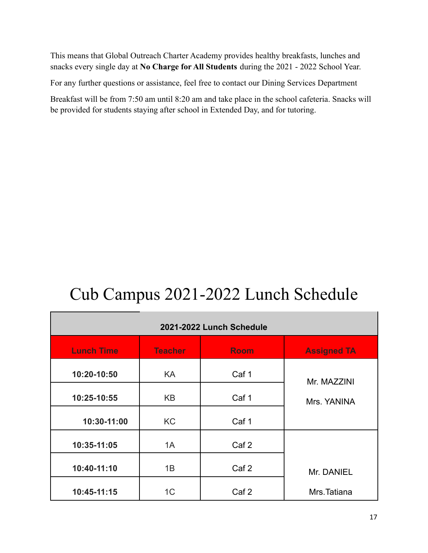This means that Global Outreach Charter Academy provides healthy breakfasts, lunches and snacks every single day at **No Charge for All Students** during the 2021 - 2022 School Year.

For any further questions or assistance, feel free to contact our Dining Services Department

Breakfast will be from 7:50 am until 8:20 am and take place in the school cafeteria. Snacks will be provided for students staying after school in Extended Day, and for tutoring.

## Cub Campus 2021-2022 Lunch Schedule

| 2021-2022 Lunch Schedule |                |                  |                    |
|--------------------------|----------------|------------------|--------------------|
| <b>Lunch Time</b>        | <b>Teacher</b> | <b>Room</b>      | <b>Assigned TA</b> |
| 10:20-10:50              | KA.            | Caf 1            | Mr. MAZZINI        |
| 10:25-10:55              | KB             | Caf 1            | Mrs. YANINA        |
| 10:30-11:00              | <b>KC</b>      | Caf 1            |                    |
| 10:35-11:05              | 1A             | Caf <sub>2</sub> |                    |
| 10:40-11:10              | 1B             | Caf <sub>2</sub> | Mr. DANIEL         |
| 10:45-11:15              | 1 <sup>C</sup> | Caf <sub>2</sub> | Mrs.Tatiana        |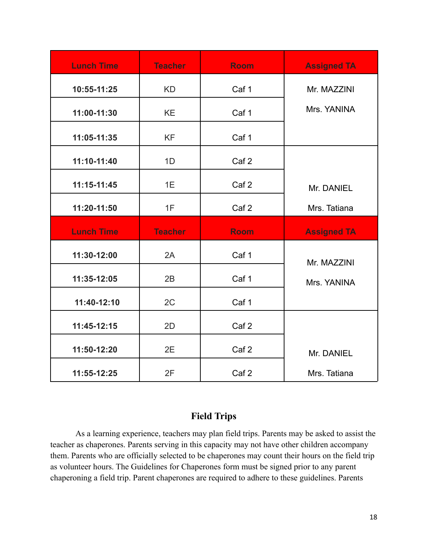| <b>Lunch Time</b> | <b>Teacher</b> | <b>Room</b>      | <b>Assigned TA</b>         |
|-------------------|----------------|------------------|----------------------------|
| 10:55-11:25       | <b>KD</b>      | Caf 1            | Mr. MAZZINI                |
| 11:00-11:30       | <b>KE</b>      | Caf 1            | Mrs. YANINA                |
| 11:05-11:35       | <b>KF</b>      | Caf 1            |                            |
| 11:10-11:40       | 1D             | Caf <sub>2</sub> |                            |
| $11:15-11:45$     | 1E             | Caf <sub>2</sub> | Mr. DANIEL                 |
| 11:20-11:50       | 1F             | Caf <sub>2</sub> | Mrs. Tatiana               |
|                   |                |                  |                            |
| <b>Lunch Time</b> | <b>Teacher</b> | <b>Room</b>      | <b>Assigned TA</b>         |
| 11:30-12:00       | 2A             | Caf 1            |                            |
| 11:35-12:05       | 2B             | Caf 1            | Mr. MAZZINI<br>Mrs. YANINA |
| 11:40-12:10       | 2C             | Caf 1            |                            |
| 11:45-12:15       | 2D             | Caf <sub>2</sub> |                            |
| 11:50-12:20       | 2E             | Caf <sub>2</sub> | Mr. DANIEL                 |

#### **Field Trips**

As a learning experience, teachers may plan field trips. Parents may be asked to assist the teacher as chaperones. Parents serving in this capacity may not have other children accompany them. Parents who are officially selected to be chaperones may count their hours on the field trip as volunteer hours. The Guidelines for Chaperones form must be signed prior to any parent chaperoning a field trip. Parent chaperones are required to adhere to these guidelines. Parents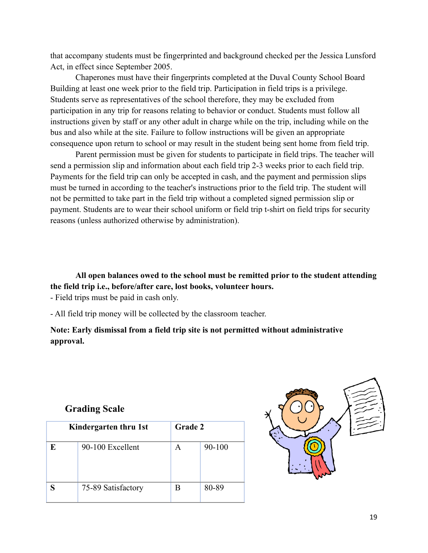that accompany students must be fingerprinted and background checked per the Jessica Lunsford Act, in effect since September 2005.

Chaperones must have their fingerprints completed at the Duval County School Board Building at least one week prior to the field trip. Participation in field trips is a privilege. Students serve as representatives of the school therefore, they may be excluded from participation in any trip for reasons relating to behavior or conduct. Students must follow all instructions given by staff or any other adult in charge while on the trip, including while on the bus and also while at the site. Failure to follow instructions will be given an appropriate consequence upon return to school or may result in the student being sent home from field trip.

Parent permission must be given for students to participate in field trips. The teacher will send a permission slip and information about each field trip 2-3 weeks prior to each field trip. Payments for the field trip can only be accepted in cash, and the payment and permission slips must be turned in according to the teacher's instructions prior to the field trip. The student will not be permitted to take part in the field trip without a completed signed permission slip or payment. Students are to wear their school uniform or field trip t-shirt on field trips for security reasons (unless authorized otherwise by administration).

**All open balances owed to the school must be remitted prior to the student attending the field trip i.e., before/after care, lost books, volunteer hours.**

- Field trips must be paid in cash only.

- All field trip money will be collected by the classroom teacher.

**Note: Early dismissal from a field trip site is not permitted without administrative approval.**

#### **Grading Scale**

|   | Kindergarten thru 1st | Grade 2 |            |
|---|-----------------------|---------|------------|
| E | 90-100 Excellent      | A       | $90 - 100$ |
| S | 75-89 Satisfactory    | B       | 80-89      |

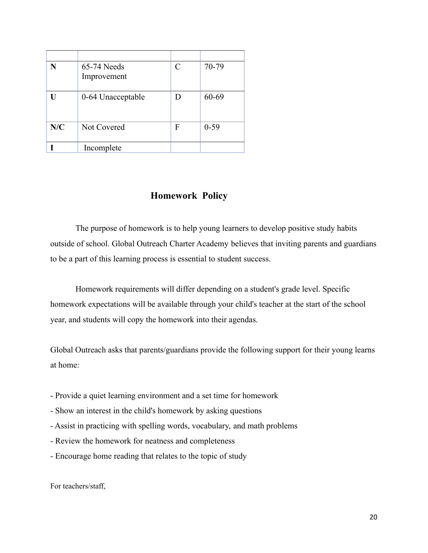| N   | 65-74 Needs<br>Improvement | C | 70-79    |
|-----|----------------------------|---|----------|
| H   | 0-64 Unacceptable          | D | 60-69    |
| N/C | Not Covered                | F | $0 - 59$ |
|     | Incomplete                 |   |          |

#### **Homework Policy**

The purpose of homework is to help young learners to develop positive study habits outside of school. Global Outreach Charter Academy believes that inviting parents and guardians to be a part of this learning process is essential to student success.

Homework requirements will differ depending on a student's grade level. Specific homework expectations will be available through your child's teacher at the start of the school year, and students will copy the homework into their agendas.

Global Outreach asks that parents/guardians provide the following support for their young learns at home:

- Provide a quiet learning environment and a set time for homework
- Show an interest in the child's homework by asking questions
- Assist in practicing with spelling words, vocabulary, and math problems
- Review the homework for neatness and completeness
- Encourage home reading that relates to the topic of study

For teachers/staff,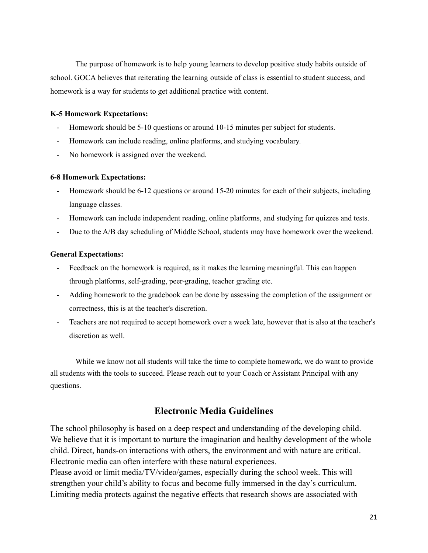The purpose of homework is to help young learners to develop positive study habits outside of school. GOCA believes that reiterating the learning outside of class is essential to student success, and homework is a way for students to get additional practice with content.

#### **K-5 Homework Expectations:**

- Homework should be 5-10 questions or around 10-15 minutes per subject for students.
- Homework can include reading, online platforms, and studying vocabulary.
- No homework is assigned over the weekend.

#### **6-8 Homework Expectations:**

- Homework should be 6-12 questions or around 15-20 minutes for each of their subjects, including language classes.
- Homework can include independent reading, online platforms, and studying for quizzes and tests.
- Due to the A/B day scheduling of Middle School, students may have homework over the weekend.

#### **General Expectations:**

- Feedback on the homework is required, as it makes the learning meaningful. This can happen through platforms, self-grading, peer-grading, teacher grading etc.
- Adding homework to the gradebook can be done by assessing the completion of the assignment or correctness, this is at the teacher's discretion.
- Teachers are not required to accept homework over a week late, however that is also at the teacher's discretion as well.

While we know not all students will take the time to complete homework, we do want to provide all students with the tools to succeed. Please reach out to your Coach or Assistant Principal with any questions.

#### **Electronic Media Guidelines**

The school philosophy is based on a deep respect and understanding of the developing child. We believe that it is important to nurture the imagination and healthy development of the whole child. Direct, hands-on interactions with others, the environment and with nature are critical. Electronic media can often interfere with these natural experiences.

Please avoid or limit media/TV/video/games, especially during the school week. This will strengthen your child's ability to focus and become fully immersed in the day's curriculum. Limiting media protects against the negative effects that research shows are associated with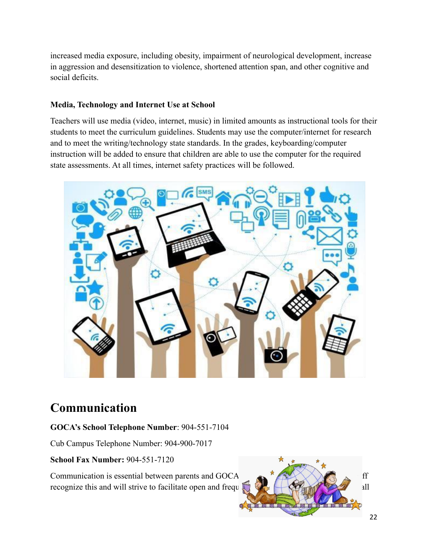increased media exposure, including obesity, impairment of neurological development, increase in aggression and desensitization to violence, shortened attention span, and other cognitive and social deficits.

#### **Media, Technology and Internet Use at School**

Teachers will use media (video, internet, music) in limited amounts as instructional tools for their students to meet the curriculum guidelines. Students may use the computer/internet for research and to meet the writing/technology state standards. In the grades, keyboarding/computer instruction will be added to ensure that children are able to use the computer for the required state assessments. At all times, internet safety practices will be followed.



## **Communication**

#### **GOCA's School Telephone Number**: 904-551-7104

Cub Campus Telephone Number: 904-900-7017

**School Fax Number:** 904-551-7120

Communication is essential between parents and GOCA  $\qquad \qquad \bullet$   $\qquad \qquad$   $\qquad \bullet$  ff recognize this and will strive to facilitate open and frequently  $\mathbb{Q}$   $\rightarrow$   $\mathbb{Q}$ 

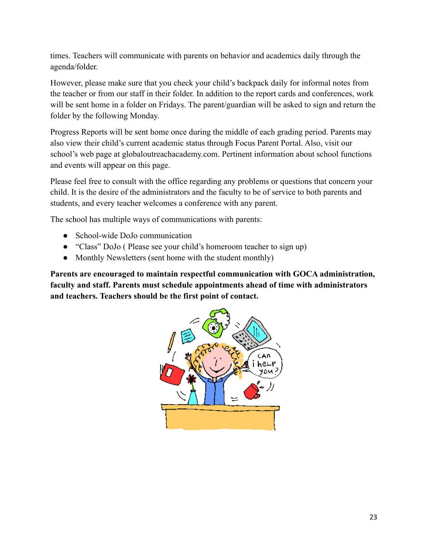times. Teachers will communicate with parents on behavior and academics daily through the agenda/folder.

However, please make sure that you check your child's backpack daily for informal notes from the teacher or from our staff in their folder. In addition to the report cards and conferences, work will be sent home in a folder on Fridays. The parent/guardian will be asked to sign and return the folder by the following Monday.

Progress Reports will be sent home once during the middle of each grading period. Parents may also view their child's current academic status through Focus Parent Portal. Also, visit our school's web page at globaloutreachacademy.com. Pertinent information about school functions and events will appear on this page.

Please feel free to consult with the office regarding any problems or questions that concern your child. It is the desire of the administrators and the faculty to be of service to both parents and students, and every teacher welcomes a conference with any parent.

The school has multiple ways of communications with parents:

- School-wide DoJo communication
- "Class" DoJo ( Please see your child's homeroom teacher to sign up)
- Monthly Newsletters (sent home with the student monthly)

**Parents are encouraged to maintain respectful communication with GOCA administration, faculty and staff. Parents must schedule appointments ahead of time with administrators and teachers. Teachers should be the first point of contact.**

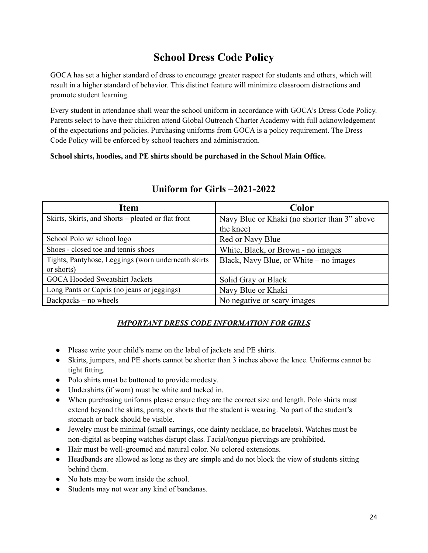## **School Dress Code Policy**

GOCA has set a higher standard of dress to encourage greater respect for students and others, which will result in a higher standard of behavior. This distinct feature will minimize classroom distractions and promote student learning.

Every student in attendance shall wear the school uniform in accordance with GOCA's Dress Code Policy. Parents select to have their children attend Global Outreach Charter Academy with full acknowledgement of the expectations and policies. Purchasing uniforms from GOCA is a policy requirement. The Dress Code Policy will be enforced by school teachers and administration.

**School shirts, hoodies, and PE shirts should be purchased in the School Main Office.**

| <b>Item</b>                                          | Color                                        |
|------------------------------------------------------|----------------------------------------------|
| Skirts, Skirts, and Shorts – pleated or flat front   | Navy Blue or Khaki (no shorter than 3" above |
|                                                      | the knee)                                    |
| School Polo w/ school logo                           | Red or Navy Blue                             |
| Shoes - closed toe and tennis shoes                  | White, Black, or Brown - no images           |
| Tights, Pantyhose, Leggings (worn underneath skirts) | Black, Navy Blue, or White – no images       |
| or shorts)                                           |                                              |
| <b>GOCA Hooded Sweatshirt Jackets</b>                | Solid Gray or Black                          |
| Long Pants or Capris (no jeans or jeggings)          | Navy Blue or Khaki                           |
| Backpacks – no wheels                                | No negative or scary images                  |

#### **Uniform for Girls –2021-2022**

#### *IMPORTANT DRESS CODE INFORMATION FOR GIRLS*

- Please write your child's name on the label of jackets and PE shirts.
- Skirts, jumpers, and PE shorts cannot be shorter than 3 inches above the knee. Uniforms cannot be tight fitting.
- Polo shirts must be buttoned to provide modesty.
- Undershirts (if worn) must be white and tucked in.
- When purchasing uniforms please ensure they are the correct size and length. Polo shirts must extend beyond the skirts, pants, or shorts that the student is wearing. No part of the student's stomach or back should be visible.
- Jewelry must be minimal (small earrings, one dainty necklace, no bracelets). Watches must be non-digital as beeping watches disrupt class. Facial/tongue piercings are prohibited.
- Hair must be well-groomed and natural color. No colored extensions.
- Headbands are allowed as long as they are simple and do not block the view of students sitting behind them.
- No hats may be worn inside the school.
- Students may not wear any kind of bandanas.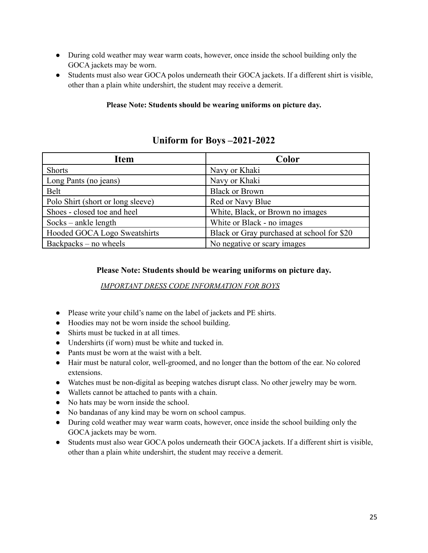- During cold weather may wear warm coats, however, once inside the school building only the GOCA jackets may be worn.
- Students must also wear GOCA polos underneath their GOCA jackets. If a different shirt is visible, other than a plain white undershirt, the student may receive a demerit.

#### **Please Note: Students should be wearing uniforms on picture day.**

#### **Uniform for Boys –2021-2022**

| <b>Item</b>                       | Color                                      |
|-----------------------------------|--------------------------------------------|
| <b>Shorts</b>                     | Navy or Khaki                              |
| Long Pants (no jeans)             | Navy or Khaki                              |
| Belt                              | <b>Black or Brown</b>                      |
| Polo Shirt (short or long sleeve) | Red or Navy Blue                           |
| Shoes - closed toe and heel       | White, Black, or Brown no images           |
| $Socks - ankle length$            | White or Black - no images                 |
| Hooded GOCA Logo Sweatshirts      | Black or Gray purchased at school for \$20 |
| Backpacks – no wheels             | No negative or scary images                |

#### **Please Note: Students should be wearing uniforms on picture day.**

*IMPORTANT DRESS CODE INFORMATION FOR BOYS*

- Please write your child's name on the label of jackets and PE shirts.
- Hoodies may not be worn inside the school building.
- Shirts must be tucked in at all times.
- Undershirts (if worn) must be white and tucked in.
- Pants must be worn at the waist with a belt.
- Hair must be natural color, well-groomed, and no longer than the bottom of the ear. No colored extensions.
- Watches must be non-digital as beeping watches disrupt class. No other jewelry may be worn.
- Wallets cannot be attached to pants with a chain.
- No hats may be worn inside the school.
- No bandanas of any kind may be worn on school campus.
- During cold weather may wear warm coats, however, once inside the school building only the GOCA jackets may be worn.
- Students must also wear GOCA polos underneath their GOCA jackets. If a different shirt is visible, other than a plain white undershirt, the student may receive a demerit.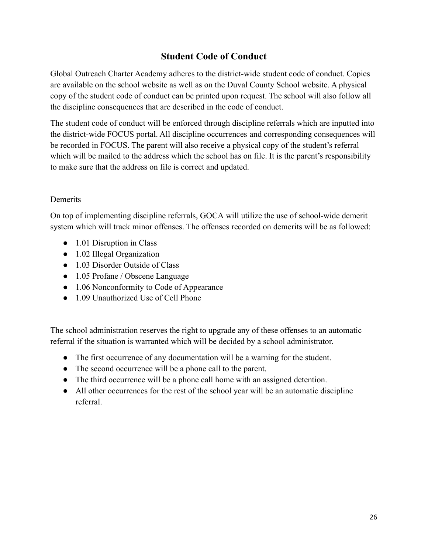#### **Student Code of Conduct**

Global Outreach Charter Academy adheres to the district-wide student code of conduct. Copies are available on the school website as well as on the Duval County School website. A physical copy of the student code of conduct can be printed upon request. The school will also follow all the discipline consequences that are described in the code of conduct.

The student code of conduct will be enforced through discipline referrals which are inputted into the district-wide FOCUS portal. All discipline occurrences and corresponding consequences will be recorded in FOCUS. The parent will also receive a physical copy of the student's referral which will be mailed to the address which the school has on file. It is the parent's responsibility to make sure that the address on file is correct and updated.

#### **Demerits**

On top of implementing discipline referrals, GOCA will utilize the use of school-wide demerit system which will track minor offenses. The offenses recorded on demerits will be as followed:

- 1.01 Disruption in Class
- 1.02 Illegal Organization
- 1.03 Disorder Outside of Class
- 1.05 Profane / Obscene Language
- 1.06 Nonconformity to Code of Appearance
- 1.09 Unauthorized Use of Cell Phone

The school administration reserves the right to upgrade any of these offenses to an automatic referral if the situation is warranted which will be decided by a school administrator.

- The first occurrence of any documentation will be a warning for the student.
- The second occurrence will be a phone call to the parent.
- The third occurrence will be a phone call home with an assigned detention.
- All other occurrences for the rest of the school year will be an automatic discipline referral.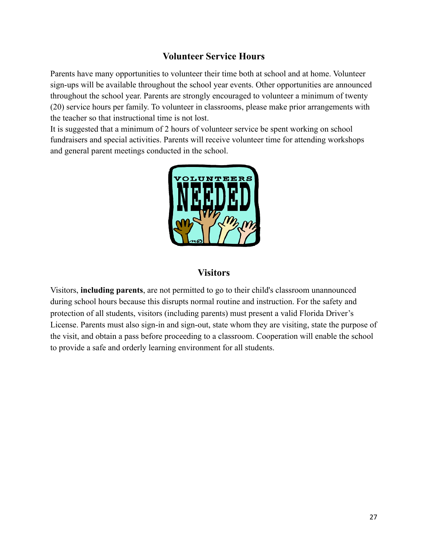#### **Volunteer Service Hours**

Parents have many opportunities to volunteer their time both at school and at home. Volunteer sign-ups will be available throughout the school year events. Other opportunities are announced throughout the school year. Parents are strongly encouraged to volunteer a minimum of twenty (20) service hours per family. To volunteer in classrooms, please make prior arrangements with the teacher so that instructional time is not lost.

It is suggested that a minimum of 2 hours of volunteer service be spent working on school fundraisers and special activities. Parents will receive volunteer time for attending workshops and general parent meetings conducted in the school.



#### **Visitors**

Visitors, **including parents**, are not permitted to go to their child's classroom unannounced during school hours because this disrupts normal routine and instruction. For the safety and protection of all students, visitors (including parents) must present a valid Florida Driver's License. Parents must also sign-in and sign-out, state whom they are visiting, state the purpose of the visit, and obtain a pass before proceeding to a classroom. Cooperation will enable the school to provide a safe and orderly learning environment for all students.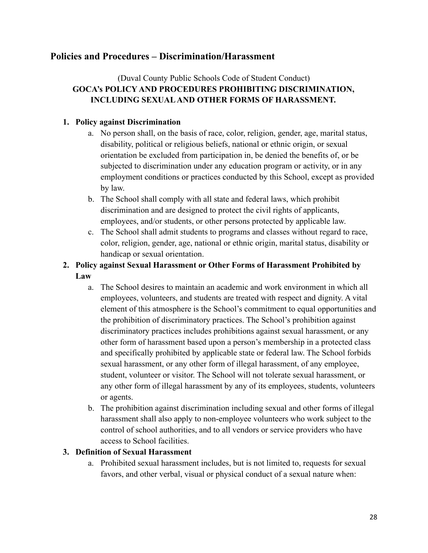#### **Policies and Procedures – Discrimination/Harassment**

#### (Duval County Public Schools Code of Student Conduct) **GOCA's POLICY AND PROCEDURES PROHIBITING DISCRIMINATION, INCLUDING SEXUAL AND OTHER FORMS OF HARASSMENT.**

#### **1. Policy against Discrimination**

- a. No person shall, on the basis of race, color, religion, gender, age, marital status, disability, political or religious beliefs, national or ethnic origin, or sexual orientation be excluded from participation in, be denied the benefits of, or be subjected to discrimination under any education program or activity, or in any employment conditions or practices conducted by this School, except as provided by law.
- b. The School shall comply with all state and federal laws, which prohibit discrimination and are designed to protect the civil rights of applicants, employees, and/or students, or other persons protected by applicable law.
- c. The School shall admit students to programs and classes without regard to race, color, religion, gender, age, national or ethnic origin, marital status, disability or handicap or sexual orientation.
- **2. Policy against Sexual Harassment or Other Forms of Harassment Prohibited by Law**
	- a. The School desires to maintain an academic and work environment in which all employees, volunteers, and students are treated with respect and dignity. A vital element of this atmosphere is the School's commitment to equal opportunities and the prohibition of discriminatory practices. The School's prohibition against discriminatory practices includes prohibitions against sexual harassment, or any other form of harassment based upon a person's membership in a protected class and specifically prohibited by applicable state or federal law. The School forbids sexual harassment, or any other form of illegal harassment, of any employee, student, volunteer or visitor. The School will not tolerate sexual harassment, or any other form of illegal harassment by any of its employees, students, volunteers or agents.
	- b. The prohibition against discrimination including sexual and other forms of illegal harassment shall also apply to non-employee volunteers who work subject to the control of school authorities, and to all vendors or service providers who have access to School facilities.

#### **3. Definition of Sexual Harassment**

a. Prohibited sexual harassment includes, but is not limited to, requests for sexual favors, and other verbal, visual or physical conduct of a sexual nature when: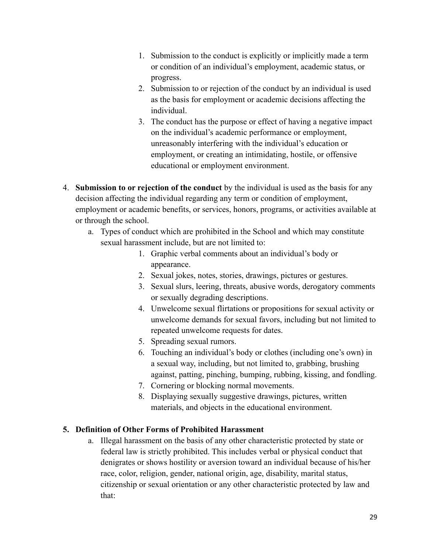- 1. Submission to the conduct is explicitly or implicitly made a term or condition of an individual's employment, academic status, or progress.
- 2. Submission to or rejection of the conduct by an individual is used as the basis for employment or academic decisions affecting the individual.
- 3. The conduct has the purpose or effect of having a negative impact on the individual's academic performance or employment, unreasonably interfering with the individual's education or employment, or creating an intimidating, hostile, or offensive educational or employment environment.
- 4. **Submission to or rejection of the conduct** by the individual is used as the basis for any decision affecting the individual regarding any term or condition of employment, employment or academic benefits, or services, honors, programs, or activities available at or through the school.
	- a. Types of conduct which are prohibited in the School and which may constitute sexual harassment include, but are not limited to:
		- 1. Graphic verbal comments about an individual's body or appearance.
		- 2. Sexual jokes, notes, stories, drawings, pictures or gestures.
		- 3. Sexual slurs, leering, threats, abusive words, derogatory comments or sexually degrading descriptions.
		- 4. Unwelcome sexual flirtations or propositions for sexual activity or unwelcome demands for sexual favors, including but not limited to repeated unwelcome requests for dates.
		- 5. Spreading sexual rumors.
		- 6. Touching an individual's body or clothes (including one's own) in a sexual way, including, but not limited to, grabbing, brushing against, patting, pinching, bumping, rubbing, kissing, and fondling.
		- 7. Cornering or blocking normal movements.
		- 8. Displaying sexually suggestive drawings, pictures, written materials, and objects in the educational environment.

#### **5. Definition of Other Forms of Prohibited Harassment**

a. Illegal harassment on the basis of any other characteristic protected by state or federal law is strictly prohibited. This includes verbal or physical conduct that denigrates or shows hostility or aversion toward an individual because of his/her race, color, religion, gender, national origin, age, disability, marital status, citizenship or sexual orientation or any other characteristic protected by law and that: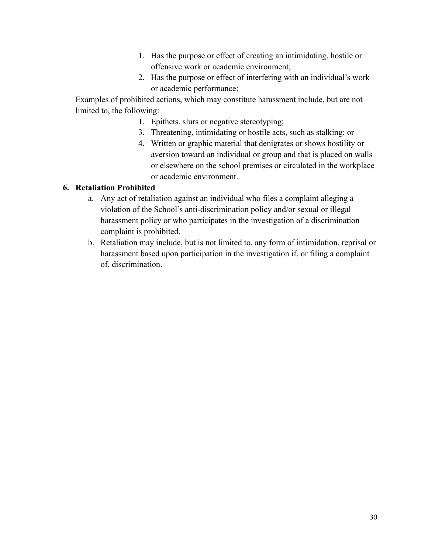- 1. Has the purpose or effect of creating an intimidating, hostile or offensive work or academic environment;
- 2. Has the purpose or effect of interfering with an individual's work or academic performance;

Examples of prohibited actions, which may constitute harassment include, but are not limited to, the following:

- 1. Epithets, slurs or negative stereotyping;
- 3. Threatening, intimidating or hostile acts, such as stalking; or
- 4. Written or graphic material that denigrates or shows hostility or aversion toward an individual or group and that is placed on walls or elsewhere on the school premises or circulated in the workplace or academic environment.

#### **6. Retaliation Prohibited**

- a. Any act of retaliation against an individual who files a complaint alleging a violation of the School's anti-discrimination policy and/or sexual or illegal harassment policy or who participates in the investigation of a discrimination complaint is prohibited.
- b. Retaliation may include, but is not limited to, any form of intimidation, reprisal or harassment based upon participation in the investigation if, or filing a complaint of, discrimination.